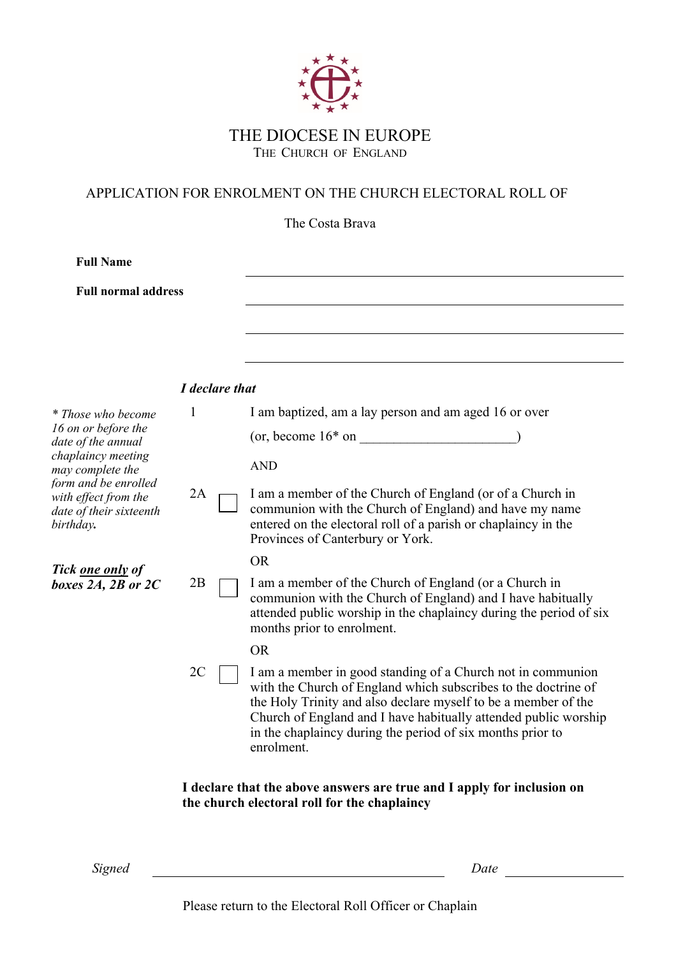

## APPLICATION FOR ENROLMENT ON THE CHURCH ELECTORAL ROLL OF

The Costa Brava

| <b>Full Name</b>                                                                                                                                                                                  |                |                                                                                                                                                                                                                                                                                                                                                |
|---------------------------------------------------------------------------------------------------------------------------------------------------------------------------------------------------|----------------|------------------------------------------------------------------------------------------------------------------------------------------------------------------------------------------------------------------------------------------------------------------------------------------------------------------------------------------------|
| <b>Full normal address</b>                                                                                                                                                                        |                |                                                                                                                                                                                                                                                                                                                                                |
|                                                                                                                                                                                                   |                |                                                                                                                                                                                                                                                                                                                                                |
|                                                                                                                                                                                                   |                |                                                                                                                                                                                                                                                                                                                                                |
|                                                                                                                                                                                                   | I declare that |                                                                                                                                                                                                                                                                                                                                                |
| * Those who become<br>16 on or before the<br>date of the annual<br>chaplaincy meeting<br>may complete the<br>form and be enrolled<br>with effect from the<br>date of their sixteenth<br>birthday. | 1              | I am baptized, am a lay person and am aged 16 or over                                                                                                                                                                                                                                                                                          |
|                                                                                                                                                                                                   |                | (or, become $16^*$ on                                                                                                                                                                                                                                                                                                                          |
|                                                                                                                                                                                                   |                | <b>AND</b>                                                                                                                                                                                                                                                                                                                                     |
|                                                                                                                                                                                                   | 2A             | I am a member of the Church of England (or of a Church in<br>communion with the Church of England) and have my name<br>entered on the electoral roll of a parish or chaplaincy in the<br>Provinces of Canterbury or York.                                                                                                                      |
| Tick one only of<br>boxes 2A, 2B or $2C$                                                                                                                                                          |                | <b>OR</b>                                                                                                                                                                                                                                                                                                                                      |
|                                                                                                                                                                                                   | 2B             | I am a member of the Church of England (or a Church in<br>communion with the Church of England) and I have habitually<br>attended public worship in the chaplaincy during the period of six<br>months prior to enrolment.                                                                                                                      |
|                                                                                                                                                                                                   |                | <b>OR</b>                                                                                                                                                                                                                                                                                                                                      |
|                                                                                                                                                                                                   | 2C             | I am a member in good standing of a Church not in communion<br>with the Church of England which subscribes to the doctrine of<br>the Holy Trinity and also declare myself to be a member of the<br>Church of England and I have habitually attended public worship<br>in the chaplaincy during the period of six months prior to<br>enrolment. |
|                                                                                                                                                                                                   |                | I declare that the above answers are true and I apply for inclusion on<br>the church electoral roll for the chaplaincy                                                                                                                                                                                                                         |

*Signed Date Date Date Date*